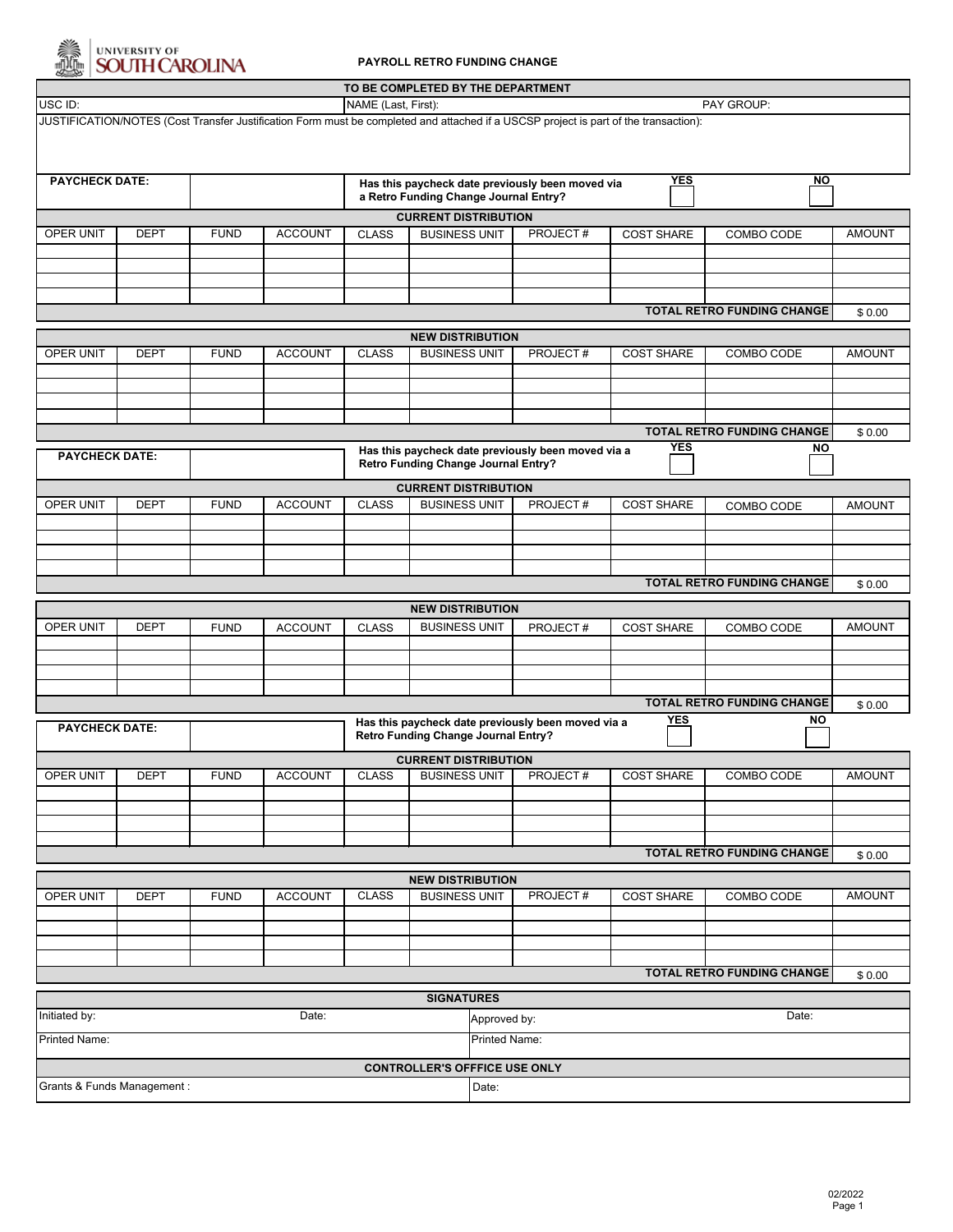

# UNIVERSITY OF<br>SOUTH CAROLINA

#### **PAYROLL RETRO FUNDING CHANGE**

| TO BE COMPLETED BY THE DEPARTMENT                                                                                                    |                                                                               |             |                |                                                                                                                             |                                      |                         |                       |                   |                            |               |  |
|--------------------------------------------------------------------------------------------------------------------------------------|-------------------------------------------------------------------------------|-------------|----------------|-----------------------------------------------------------------------------------------------------------------------------|--------------------------------------|-------------------------|-----------------------|-------------------|----------------------------|---------------|--|
| USC ID:<br>PAY GROUP:<br>NAME (Last, First):                                                                                         |                                                                               |             |                |                                                                                                                             |                                      |                         |                       |                   |                            |               |  |
| JUSTIFICATION/NOTES (Cost Transfer Justification Form must be completed and attached if a USCSP project is part of the transaction): |                                                                               |             |                |                                                                                                                             |                                      |                         |                       |                   |                            |               |  |
|                                                                                                                                      |                                                                               |             |                |                                                                                                                             |                                      |                         |                       |                   |                            |               |  |
|                                                                                                                                      |                                                                               |             |                |                                                                                                                             |                                      |                         |                       |                   |                            |               |  |
| <b>PAYCHECK DATE:</b>                                                                                                                |                                                                               |             |                | <b>YES</b><br>Has this paycheck date previously been moved via                                                              |                                      |                         |                       |                   | $\overline{N}$             |               |  |
| a Retro Funding Change Journal Entry?                                                                                                |                                                                               |             |                |                                                                                                                             |                                      |                         |                       |                   |                            |               |  |
| <b>CURRENT DISTRIBUTION</b><br><b>BUSINESS UNIT</b>                                                                                  |                                                                               |             |                |                                                                                                                             |                                      |                         |                       |                   |                            |               |  |
| OPER UNIT                                                                                                                            | <b>DEPT</b>                                                                   | <b>FUND</b> | <b>ACCOUNT</b> | <b>CLASS</b>                                                                                                                |                                      |                         | PROJECT#              | <b>COST SHARE</b> | COMBO CODE                 | <b>AMOUNT</b> |  |
|                                                                                                                                      |                                                                               |             |                |                                                                                                                             |                                      |                         |                       |                   |                            |               |  |
|                                                                                                                                      |                                                                               |             |                |                                                                                                                             |                                      |                         |                       |                   |                            |               |  |
|                                                                                                                                      |                                                                               |             |                |                                                                                                                             |                                      |                         |                       |                   |                            |               |  |
| <b>TOTAL RETRO FUNDING CHANGE</b>                                                                                                    |                                                                               |             |                |                                                                                                                             |                                      |                         |                       |                   |                            | \$0.00        |  |
| <b>NEW DISTRIBUTION</b>                                                                                                              |                                                                               |             |                |                                                                                                                             |                                      |                         |                       |                   |                            |               |  |
| OPER UNIT                                                                                                                            | <b>DEPT</b>                                                                   | <b>FUND</b> | <b>ACCOUNT</b> | <b>CLASS</b>                                                                                                                | <b>BUSINESS UNIT</b>                 |                         | PROJECT#              | <b>COST SHARE</b> | COMBO CODE                 | <b>AMOUNT</b> |  |
|                                                                                                                                      |                                                                               |             |                |                                                                                                                             |                                      |                         |                       |                   |                            |               |  |
|                                                                                                                                      |                                                                               |             |                |                                                                                                                             |                                      |                         |                       |                   |                            |               |  |
|                                                                                                                                      |                                                                               |             |                |                                                                                                                             |                                      |                         |                       |                   |                            |               |  |
| <b>TOTAL RETRO FUNDING CHANGE</b>                                                                                                    |                                                                               |             |                |                                                                                                                             |                                      |                         |                       |                   |                            |               |  |
|                                                                                                                                      | <b>YES</b><br><b>NO</b><br>Has this paycheck date previously been moved via a |             |                |                                                                                                                             |                                      |                         | \$0.00                |                   |                            |               |  |
| <b>PAYCHECK DATE:</b>                                                                                                                | <b>Retro Funding Change Journal Entry?</b>                                    |             |                |                                                                                                                             |                                      |                         |                       |                   |                            |               |  |
| <b>CURRENT DISTRIBUTION</b>                                                                                                          |                                                                               |             |                |                                                                                                                             |                                      |                         |                       |                   |                            |               |  |
| OPER UNIT                                                                                                                            | <b>DEPT</b>                                                                   | <b>FUND</b> | <b>ACCOUNT</b> | <b>CLASS</b>                                                                                                                | <b>BUSINESS UNIT</b>                 |                         | PROJECT#              | <b>COST SHARE</b> | COMBO CODE                 | <b>AMOUNT</b> |  |
|                                                                                                                                      |                                                                               |             |                |                                                                                                                             |                                      |                         |                       |                   |                            |               |  |
|                                                                                                                                      |                                                                               |             |                |                                                                                                                             |                                      |                         |                       |                   |                            |               |  |
|                                                                                                                                      |                                                                               |             |                |                                                                                                                             |                                      |                         |                       |                   |                            |               |  |
| <b>TOTAL RETRO FUNDING CHANGE</b>                                                                                                    |                                                                               |             |                |                                                                                                                             |                                      |                         |                       |                   |                            | \$0.00        |  |
|                                                                                                                                      |                                                                               |             |                |                                                                                                                             |                                      |                         |                       |                   |                            |               |  |
|                                                                                                                                      |                                                                               |             |                |                                                                                                                             |                                      | <b>NEW DISTRIBUTION</b> |                       |                   |                            |               |  |
| OPER UNIT                                                                                                                            | <b>DEPT</b>                                                                   | <b>FUND</b> | <b>ACCOUNT</b> | <b>CLASS</b>                                                                                                                | <b>BUSINESS UNIT</b>                 |                         | PROJECT#              | <b>COST SHARE</b> | COMBO CODE                 | <b>AMOUNT</b> |  |
|                                                                                                                                      |                                                                               |             |                |                                                                                                                             |                                      |                         |                       |                   |                            |               |  |
|                                                                                                                                      |                                                                               |             |                |                                                                                                                             |                                      |                         |                       |                   |                            |               |  |
|                                                                                                                                      |                                                                               |             |                |                                                                                                                             |                                      |                         |                       |                   |                            |               |  |
|                                                                                                                                      |                                                                               |             |                |                                                                                                                             |                                      |                         |                       |                   | TOTAL RETRO FUNDING CHANGE | \$0.00        |  |
| <b>PAYCHECK DATE:</b>                                                                                                                |                                                                               |             |                | <b>YES</b><br><b>NO</b><br>Has this paycheck date previously been moved via a<br><b>Retro Funding Change Journal Entry?</b> |                                      |                         |                       |                   |                            |               |  |
|                                                                                                                                      | <b>CURRENT DISTRIBUTION</b>                                                   |             |                |                                                                                                                             |                                      |                         |                       |                   |                            |               |  |
| OPER UNIT                                                                                                                            | <b>DEPT</b>                                                                   | <b>FUND</b> | <b>ACCOUNT</b> | <b>CLASS</b>                                                                                                                | <b>BUSINESS UNIT</b>                 |                         | PROJECT#              | <b>COST SHARE</b> | COMBO CODE                 | <b>AMOUNT</b> |  |
|                                                                                                                                      |                                                                               |             |                |                                                                                                                             |                                      |                         |                       |                   |                            |               |  |
|                                                                                                                                      |                                                                               |             |                |                                                                                                                             |                                      |                         |                       |                   |                            |               |  |
|                                                                                                                                      |                                                                               |             |                |                                                                                                                             |                                      |                         |                       |                   |                            |               |  |
|                                                                                                                                      |                                                                               |             |                |                                                                                                                             |                                      |                         |                       |                   |                            |               |  |
| <b>TOTAL RETRO FUNDING CHANGE</b><br>\$0.00                                                                                          |                                                                               |             |                |                                                                                                                             |                                      |                         |                       |                   |                            |               |  |
| <b>NEW DISTRIBUTION</b>                                                                                                              |                                                                               |             |                |                                                                                                                             |                                      |                         |                       |                   |                            |               |  |
| OPER UNIT                                                                                                                            | <b>DEPT</b>                                                                   | <b>FUND</b> | <b>ACCOUNT</b> | <b>CLASS</b>                                                                                                                | <b>BUSINESS UNIT</b>                 |                         | PROJECT#              | <b>COST SHARE</b> | COMBO CODE                 | <b>AMOUNT</b> |  |
|                                                                                                                                      |                                                                               |             |                |                                                                                                                             |                                      |                         |                       |                   |                            |               |  |
|                                                                                                                                      |                                                                               |             |                |                                                                                                                             |                                      |                         |                       |                   |                            |               |  |
|                                                                                                                                      |                                                                               |             |                |                                                                                                                             |                                      |                         |                       |                   |                            |               |  |
| <b>TOTAL RETRO FUNDING CHANGE</b><br>\$0.00                                                                                          |                                                                               |             |                |                                                                                                                             |                                      |                         |                       |                   |                            |               |  |
| <b>SIGNATURES</b>                                                                                                                    |                                                                               |             |                |                                                                                                                             |                                      |                         |                       |                   |                            |               |  |
| Initiated by:<br>Date:                                                                                                               |                                                                               |             |                |                                                                                                                             |                                      |                         | Date:<br>Approved by: |                   |                            |               |  |
| Printed Name:                                                                                                                        |                                                                               |             |                |                                                                                                                             |                                      |                         | <b>Printed Name:</b>  |                   |                            |               |  |
|                                                                                                                                      |                                                                               |             |                |                                                                                                                             |                                      |                         |                       |                   |                            |               |  |
|                                                                                                                                      |                                                                               |             |                |                                                                                                                             | <b>CONTROLLER'S OFFFICE USE ONLY</b> |                         |                       |                   |                            |               |  |
| Grants & Funds Management :<br>Date:                                                                                                 |                                                                               |             |                |                                                                                                                             |                                      |                         |                       |                   |                            |               |  |